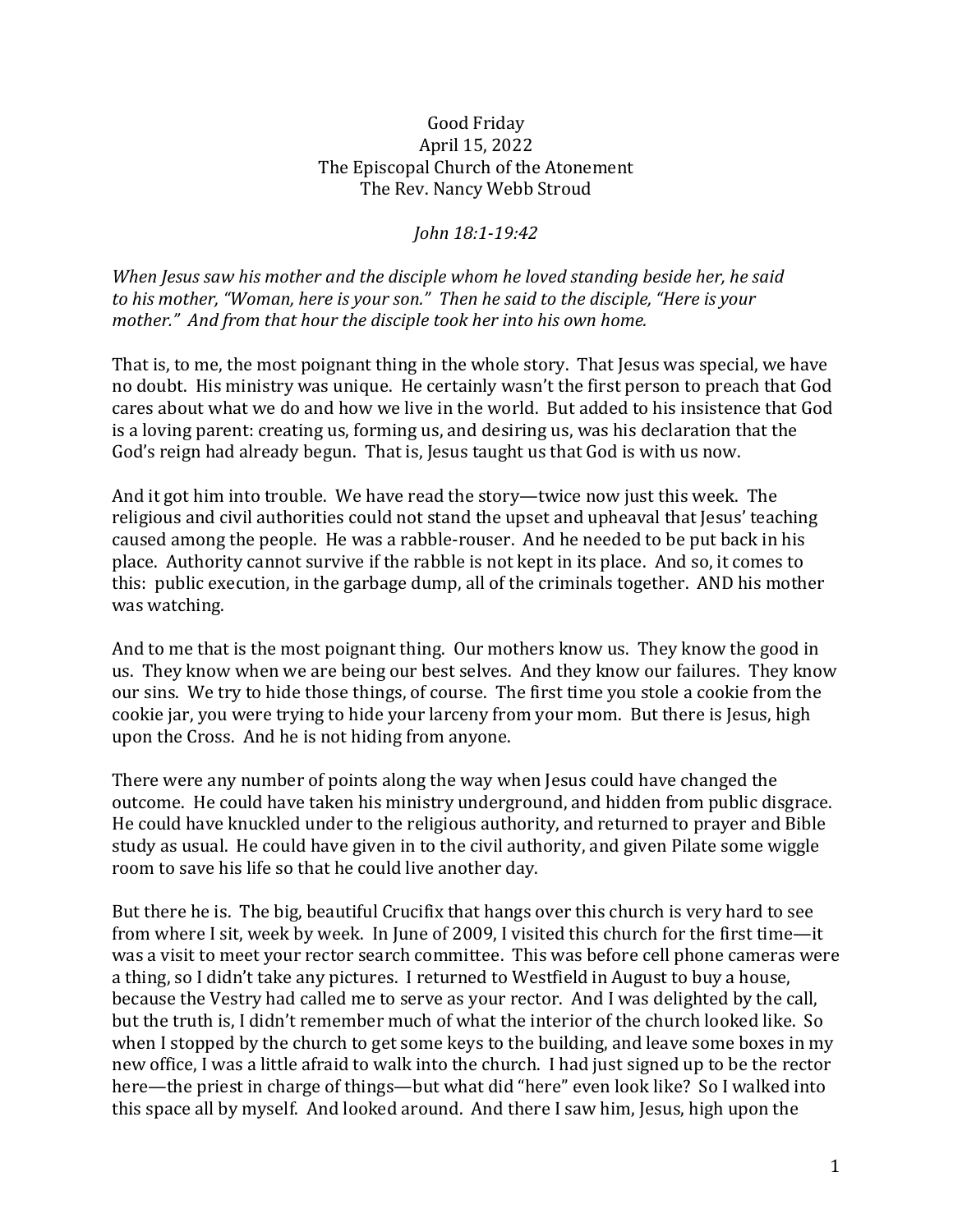## Good Friday April 15, 2022 The Episcopal Church of the Atonement The Rev. Nancy Webb Stroud

## *John 18:1-19:42*

*When Jesus saw his mother and the disciple whom he loved standing beside her, he said to his mother, "Woman, here is your son." Then he said to the disciple, "Here is your mother." And from that hour the disciple took her into his own home.*

That is, to me, the most poignant thing in the whole story. That Jesus was special, we have no doubt. His ministry was unique. He certainly wasn't the first person to preach that God cares about what we do and how we live in the world. But added to his insistence that God is a loving parent: creating us, forming us, and desiring us, was his declaration that the God's reign had already begun. That is, Jesus taught us that God is with us now.

And it got him into trouble. We have read the story—twice now just this week. The religious and civil authorities could not stand the upset and upheaval that Jesus' teaching caused among the people. He was a rabble-rouser. And he needed to be put back in his place. Authority cannot survive if the rabble is not kept in its place. And so, it comes to this: public execution, in the garbage dump, all of the criminals together. AND his mother was watching.

And to me that is the most poignant thing. Our mothers know us. They know the good in us. They know when we are being our best selves. And they know our failures. They know our sins. We try to hide those things, of course. The first time you stole a cookie from the cookie jar, you were trying to hide your larceny from your mom. But there is Jesus, high upon the Cross. And he is not hiding from anyone.

There were any number of points along the way when Jesus could have changed the outcome. He could have taken his ministry underground, and hidden from public disgrace. He could have knuckled under to the religious authority, and returned to prayer and Bible study as usual. He could have given in to the civil authority, and given Pilate some wiggle room to save his life so that he could live another day.

But there he is. The big, beautiful Crucifix that hangs over this church is very hard to see from where I sit, week by week. In June of 2009, I visited this church for the first time—it was a visit to meet your rector search committee. This was before cell phone cameras were a thing, so I didn't take any pictures. I returned to Westfield in August to buy a house, because the Vestry had called me to serve as your rector. And I was delighted by the call, but the truth is, I didn't remember much of what the interior of the church looked like. So when I stopped by the church to get some keys to the building, and leave some boxes in my new office, I was a little afraid to walk into the church. I had just signed up to be the rector here—the priest in charge of things—but what did "here" even look like? So I walked into this space all by myself. And looked around. And there I saw him, Jesus, high upon the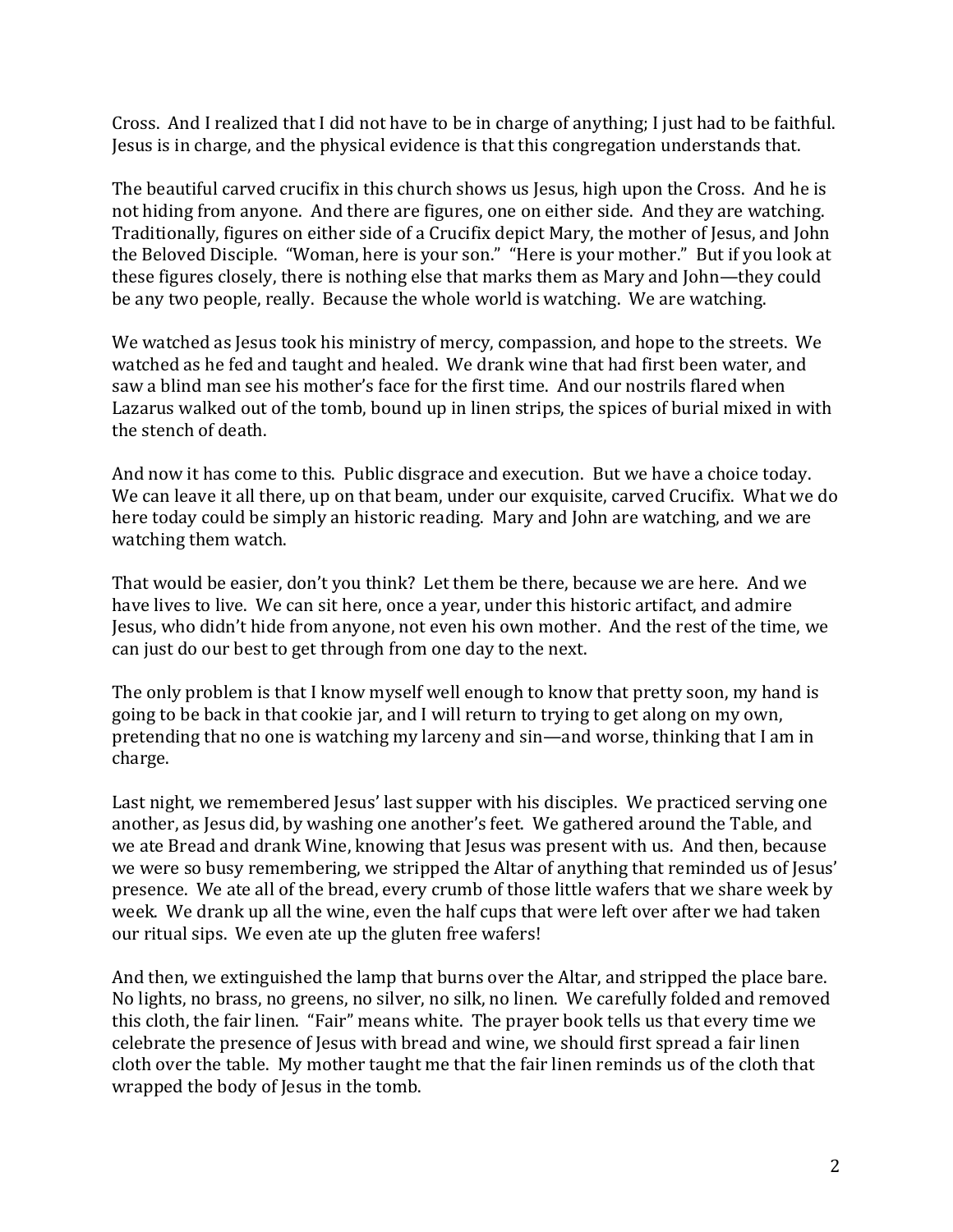Cross. And I realized that I did not have to be in charge of anything; I just had to be faithful. Jesus is in charge, and the physical evidence is that this congregation understands that.

The beautiful carved crucifix in this church shows us Jesus, high upon the Cross. And he is not hiding from anyone. And there are figures, one on either side. And they are watching. Traditionally, figures on either side of a Crucifix depict Mary, the mother of Jesus, and John the Beloved Disciple. "Woman, here is your son." "Here is your mother." But if you look at these figures closely, there is nothing else that marks them as Mary and John—they could be any two people, really. Because the whole world is watching. We are watching.

We watched as Jesus took his ministry of mercy, compassion, and hope to the streets. We watched as he fed and taught and healed. We drank wine that had first been water, and saw a blind man see his mother's face for the first time. And our nostrils flared when Lazarus walked out of the tomb, bound up in linen strips, the spices of burial mixed in with the stench of death.

And now it has come to this. Public disgrace and execution. But we have a choice today. We can leave it all there, up on that beam, under our exquisite, carved Crucifix. What we do here today could be simply an historic reading. Mary and John are watching, and we are watching them watch.

That would be easier, don't you think? Let them be there, because we are here. And we have lives to live. We can sit here, once a year, under this historic artifact, and admire Jesus, who didn't hide from anyone, not even his own mother. And the rest of the time, we can just do our best to get through from one day to the next.

The only problem is that I know myself well enough to know that pretty soon, my hand is going to be back in that cookie jar, and I will return to trying to get along on my own, pretending that no one is watching my larceny and sin—and worse, thinking that I am in charge.

Last night, we remembered Jesus' last supper with his disciples. We practiced serving one another, as Jesus did, by washing one another's feet. We gathered around the Table, and we ate Bread and drank Wine, knowing that Jesus was present with us. And then, because we were so busy remembering, we stripped the Altar of anything that reminded us of Jesus' presence. We ate all of the bread, every crumb of those little wafers that we share week by week. We drank up all the wine, even the half cups that were left over after we had taken our ritual sips. We even ate up the gluten free wafers!

And then, we extinguished the lamp that burns over the Altar, and stripped the place bare. No lights, no brass, no greens, no silver, no silk, no linen. We carefully folded and removed this cloth, the fair linen. "Fair" means white. The prayer book tells us that every time we celebrate the presence of Jesus with bread and wine, we should first spread a fair linen cloth over the table. My mother taught me that the fair linen reminds us of the cloth that wrapped the body of Jesus in the tomb.